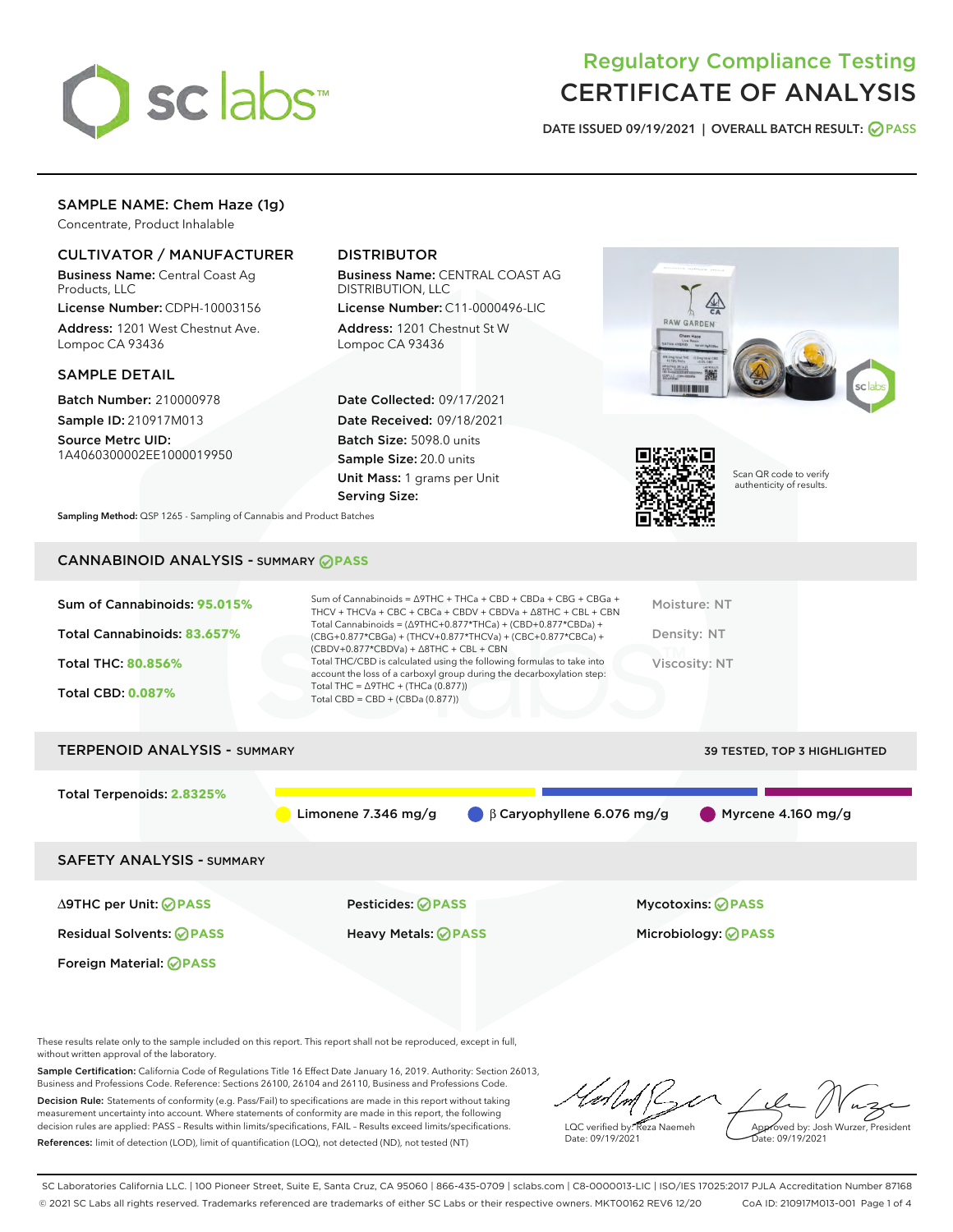

# Regulatory Compliance Testing CERTIFICATE OF ANALYSIS

DATE ISSUED 09/19/2021 | OVERALL BATCH RESULT: @ PASS

### SAMPLE NAME: Chem Haze (1g)

Concentrate, Product Inhalable

### CULTIVATOR / MANUFACTURER

Business Name: Central Coast Ag Products, LLC

License Number: CDPH-10003156 Address: 1201 West Chestnut Ave. Lompoc CA 93436

#### SAMPLE DETAIL

Batch Number: 210000978 Sample ID: 210917M013

Source Metrc UID: 1A4060300002EE1000019950

### DISTRIBUTOR

Business Name: CENTRAL COAST AG DISTRIBUTION, LLC

License Number: C11-0000496-LIC Address: 1201 Chestnut St W Lompoc CA 93436

Date Collected: 09/17/2021 Date Received: 09/18/2021 Batch Size: 5098.0 units Sample Size: 20.0 units Unit Mass: 1 grams per Unit Serving Size:





Scan QR code to verify authenticity of results.

Sampling Method: QSP 1265 - Sampling of Cannabis and Product Batches

## CANNABINOID ANALYSIS - SUMMARY **PASS**

| Sum of Cannabinoids: 95.015%<br>Total Cannabinoids: 83.657%<br>Total THC: 80.856%<br><b>Total CBD: 0.087%</b> | Sum of Cannabinoids = $\triangle$ 9THC + THCa + CBD + CBDa + CBG + CBGa +<br>THCV + THCVa + CBC + CBCa + CBDV + CBDVa + $\Delta$ 8THC + CBL + CBN<br>Total Cannabinoids = $(\Delta$ 9THC+0.877*THCa) + (CBD+0.877*CBDa) +<br>(CBG+0.877*CBGa) + (THCV+0.877*THCVa) + (CBC+0.877*CBCa) +<br>$(CBDV+0.877*CBDVa) + \Delta 8THC + CBL + CBN$<br>Total THC/CBD is calculated using the following formulas to take into<br>account the loss of a carboxyl group during the decarboxylation step:<br>Total THC = $\triangle$ 9THC + (THCa (0.877))<br>Total CBD = $CBD + (CBDa (0.877))$ |                                  | Moisture: NT<br>Density: NT<br>Viscosity: NT |
|---------------------------------------------------------------------------------------------------------------|------------------------------------------------------------------------------------------------------------------------------------------------------------------------------------------------------------------------------------------------------------------------------------------------------------------------------------------------------------------------------------------------------------------------------------------------------------------------------------------------------------------------------------------------------------------------------------|----------------------------------|----------------------------------------------|
| <b>TERPENOID ANALYSIS - SUMMARY</b>                                                                           |                                                                                                                                                                                                                                                                                                                                                                                                                                                                                                                                                                                    |                                  | <b>39 TESTED, TOP 3 HIGHLIGHTED</b>          |
| Total Terpenoids: 2.8325%                                                                                     | Limonene $7.346$ mg/g                                                                                                                                                                                                                                                                                                                                                                                                                                                                                                                                                              | $\beta$ Caryophyllene 6.076 mg/g | Myrcene $4.160$ mg/g                         |
| <b>SAFETY ANALYSIS - SUMMARY</b>                                                                              |                                                                                                                                                                                                                                                                                                                                                                                                                                                                                                                                                                                    |                                  |                                              |
| ∆9THC per Unit: ⊘PASS                                                                                         | Pesticides: ⊘PASS                                                                                                                                                                                                                                                                                                                                                                                                                                                                                                                                                                  |                                  | <b>Mycotoxins: ⊘PASS</b>                     |
| <b>Residual Solvents: ⊘PASS</b>                                                                               | Heavy Metals: <b>PASS</b>                                                                                                                                                                                                                                                                                                                                                                                                                                                                                                                                                          |                                  | Microbiology: <b>⊘PASS</b>                   |
| Foreign Material: ⊘PASS                                                                                       |                                                                                                                                                                                                                                                                                                                                                                                                                                                                                                                                                                                    |                                  |                                              |

These results relate only to the sample included on this report. This report shall not be reproduced, except in full, without written approval of the laboratory.

Sample Certification: California Code of Regulations Title 16 Effect Date January 16, 2019. Authority: Section 26013, Business and Professions Code. Reference: Sections 26100, 26104 and 26110, Business and Professions Code. Decision Rule: Statements of conformity (e.g. Pass/Fail) to specifications are made in this report without taking

measurement uncertainty into account. Where statements of conformity are made in this report, the following decision rules are applied: PASS – Results within limits/specifications, FAIL – Results exceed limits/specifications. References: limit of detection (LOD), limit of quantification (LOQ), not detected (ND), not tested (NT)

LQC verified by: Reza Naemeh Date: 09/19/2021 Approved by: Josh Wurzer, President Date: 09/19/2021

SC Laboratories California LLC. | 100 Pioneer Street, Suite E, Santa Cruz, CA 95060 | 866-435-0709 | sclabs.com | C8-0000013-LIC | ISO/IES 17025:2017 PJLA Accreditation Number 87168 © 2021 SC Labs all rights reserved. Trademarks referenced are trademarks of either SC Labs or their respective owners. MKT00162 REV6 12/20 CoA ID: 210917M013-001 Page 1 of 4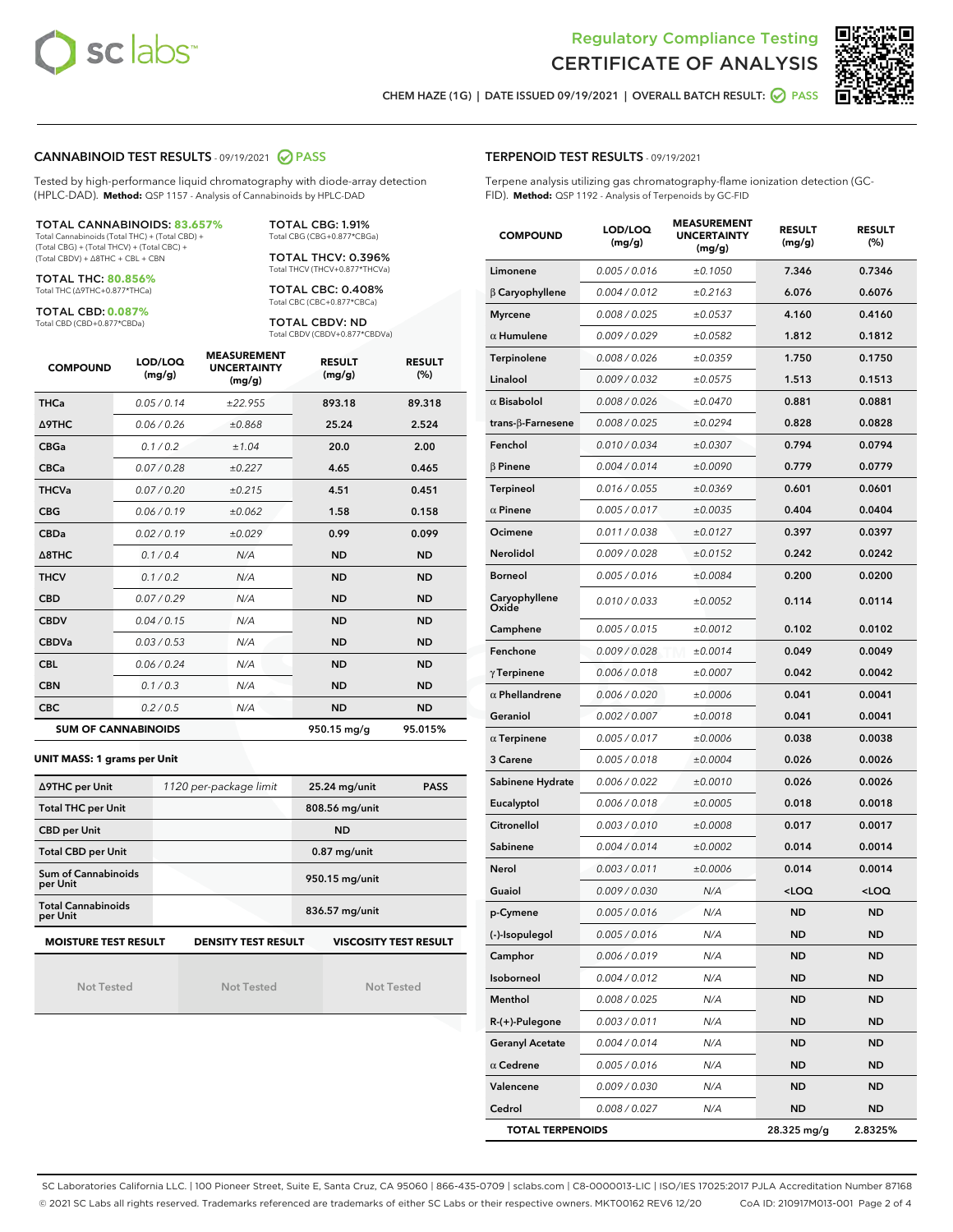



CHEM HAZE (1G) | DATE ISSUED 09/19/2021 | OVERALL BATCH RESULT:  $\bigcirc$  PASS

#### CANNABINOID TEST RESULTS - 09/19/2021 2 PASS

Tested by high-performance liquid chromatography with diode-array detection (HPLC-DAD). **Method:** QSP 1157 - Analysis of Cannabinoids by HPLC-DAD

TOTAL CANNABINOIDS: **83.657%** Total Cannabinoids (Total THC) + (Total CBD) +

(Total CBG) + (Total THCV) + (Total CBC) + (Total CBDV) + ∆8THC + CBL + CBN

TOTAL THC: **80.856%** Total THC (∆9THC+0.877\*THCa)

TOTAL CBD: **0.087%**

Total CBD (CBD+0.877\*CBDa)

TOTAL CBG: 1.91% Total CBG (CBG+0.877\*CBGa)

TOTAL THCV: 0.396% Total THCV (THCV+0.877\*THCVa)

TOTAL CBC: 0.408% Total CBC (CBC+0.877\*CBCa)

TOTAL CBDV: ND Total CBDV (CBDV+0.877\*CBDVa)

| <b>COMPOUND</b>  | LOD/LOQ<br>(mg/g)          | <b>MEASUREMENT</b><br><b>UNCERTAINTY</b><br>(mg/g) | <b>RESULT</b><br>(mg/g) | <b>RESULT</b><br>(%) |
|------------------|----------------------------|----------------------------------------------------|-------------------------|----------------------|
| <b>THCa</b>      | 0.05/0.14                  | ±22.955                                            | 893.18                  | 89.318               |
| <b>A9THC</b>     | 0.06 / 0.26                | ±0.868                                             | 25.24                   | 2.524                |
| <b>CBGa</b>      | 0.1/0.2                    | ±1.04                                              | 20.0                    | 2.00                 |
| <b>CBCa</b>      | 0.07 / 0.28                | ±0.227                                             | 4.65                    | 0.465                |
| <b>THCVa</b>     | 0.07/0.20                  | ±0.215                                             | 4.51                    | 0.451                |
| <b>CBG</b>       | 0.06/0.19                  | ±0.062                                             | 1.58                    | 0.158                |
| <b>CBDa</b>      | 0.02/0.19                  | ±0.029                                             | 0.99                    | 0.099                |
| $\triangle$ 8THC | 0.1/0.4                    | N/A                                                | <b>ND</b>               | <b>ND</b>            |
| <b>THCV</b>      | 0.1/0.2                    | N/A                                                | <b>ND</b>               | <b>ND</b>            |
| <b>CBD</b>       | 0.07/0.29                  | N/A                                                | <b>ND</b>               | <b>ND</b>            |
| <b>CBDV</b>      | 0.04 / 0.15                | N/A                                                | <b>ND</b>               | <b>ND</b>            |
| <b>CBDVa</b>     | 0.03/0.53                  | N/A                                                | <b>ND</b>               | <b>ND</b>            |
| <b>CBL</b>       | 0.06 / 0.24                | N/A                                                | <b>ND</b>               | <b>ND</b>            |
| <b>CBN</b>       | 0.1/0.3                    | N/A                                                | <b>ND</b>               | <b>ND</b>            |
| <b>CBC</b>       | 0.2 / 0.5                  | N/A                                                | <b>ND</b>               | <b>ND</b>            |
|                  | <b>SUM OF CANNABINOIDS</b> |                                                    | 950.15 mg/g             | 95.015%              |

#### **UNIT MASS: 1 grams per Unit**

| ∆9THC per Unit                        | 1120 per-package limit     | 25.24 mg/unit<br><b>PASS</b> |  |  |
|---------------------------------------|----------------------------|------------------------------|--|--|
| <b>Total THC per Unit</b>             |                            | 808.56 mg/unit               |  |  |
| <b>CBD per Unit</b>                   |                            | <b>ND</b>                    |  |  |
| <b>Total CBD per Unit</b>             |                            | $0.87$ mg/unit               |  |  |
| Sum of Cannabinoids<br>per Unit       |                            | 950.15 mg/unit               |  |  |
| <b>Total Cannabinoids</b><br>per Unit |                            | 836.57 mg/unit               |  |  |
| <b>MOISTURE TEST RESULT</b>           | <b>DENSITY TEST RESULT</b> | <b>VISCOSITY TEST RESULT</b> |  |  |

Not Tested

Not Tested

Not Tested

#### TERPENOID TEST RESULTS - 09/19/2021

Terpene analysis utilizing gas chromatography-flame ionization detection (GC-FID). **Method:** QSP 1192 - Analysis of Terpenoids by GC-FID

| <b>COMPOUND</b>          | LOD/LOQ<br>(mg/g) | <b>MEASUREMENT</b><br><b>UNCERTAINTY</b><br>(mg/g) | <b>RESULT</b><br>(mg/g)                         | <b>RESULT</b><br>(%) |
|--------------------------|-------------------|----------------------------------------------------|-------------------------------------------------|----------------------|
| Limonene                 | 0.005 / 0.016     | ±0.1050                                            | 7.346                                           | 0.7346               |
| $\beta$ Caryophyllene    | 0.004 / 0.012     | ±0.2163                                            | 6.076                                           | 0.6076               |
| <b>Myrcene</b>           | 0.008 / 0.025     | ±0.0537                                            | 4.160                                           | 0.4160               |
| $\alpha$ Humulene        | 0.009 / 0.029     | ±0.0582                                            | 1.812                                           | 0.1812               |
| Terpinolene              | 0.008 / 0.026     | ±0.0359                                            | 1.750                                           | 0.1750               |
| Linalool                 | 0.009/0.032       | ±0.0575                                            | 1.513                                           | 0.1513               |
| $\alpha$ Bisabolol       | 0.008 / 0.026     | ±0.0470                                            | 0.881                                           | 0.0881               |
| $trans-\beta$ -Farnesene | 0.008 / 0.025     | ±0.0294                                            | 0.828                                           | 0.0828               |
| Fenchol                  | 0.010 / 0.034     | ±0.0307                                            | 0.794                                           | 0.0794               |
| $\beta$ Pinene           | 0.004 / 0.014     | ±0.0090                                            | 0.779                                           | 0.0779               |
| <b>Terpineol</b>         | 0.016 / 0.055     | ±0.0369                                            | 0.601                                           | 0.0601               |
| $\alpha$ Pinene          | 0.005 / 0.017     | ±0.0035                                            | 0.404                                           | 0.0404               |
| Ocimene                  | 0.011 / 0.038     | ±0.0127                                            | 0.397                                           | 0.0397               |
| Nerolidol                | 0.009 / 0.028     | ±0.0152                                            | 0.242                                           | 0.0242               |
| <b>Borneol</b>           | 0.005 / 0.016     | ±0.0084                                            | 0.200                                           | 0.0200               |
| Caryophyllene<br>Oxide   | 0.010 / 0.033     | ±0.0052                                            | 0.114                                           | 0.0114               |
| Camphene                 | 0.005 / 0.015     | ±0.0012                                            | 0.102                                           | 0.0102               |
| Fenchone                 | 0.009/0.028       | ±0.0014                                            | 0.049                                           | 0.0049               |
| $\gamma$ Terpinene       | 0.006 / 0.018     | ±0.0007                                            | 0.042                                           | 0.0042               |
| $\alpha$ Phellandrene    | 0.006 / 0.020     | ±0.0006                                            | 0.041                                           | 0.0041               |
| Geraniol                 | 0.002 / 0.007     | ±0.0018                                            | 0.041                                           | 0.0041               |
| $\alpha$ Terpinene       | 0.005 / 0.017     | ±0.0006                                            | 0.038                                           | 0.0038               |
| 3 Carene                 | 0.005 / 0.018     | ±0.0004                                            | 0.026                                           | 0.0026               |
| Sabinene Hydrate         | 0.006 / 0.022     | ±0.0010                                            | 0.026                                           | 0.0026               |
| Eucalyptol               | 0.006 / 0.018     | ±0.0005                                            | 0.018                                           | 0.0018               |
| Citronellol              | 0.003 / 0.010     | ±0.0008                                            | 0.017                                           | 0.0017               |
| Sabinene                 | 0.004 / 0.014     | ±0.0002                                            | 0.014                                           | 0.0014               |
| Nerol                    | 0.003 / 0.011     | ±0.0006                                            | 0.014                                           | 0.0014               |
| Guaiol                   | 0.009 / 0.030     | N/A                                                | <loq< th=""><th><loq< th=""></loq<></th></loq<> | <loq< th=""></loq<>  |
| p-Cymene                 | 0.005 / 0.016     | N/A                                                | ND                                              | <b>ND</b>            |
| (-)-Isopulegol           | 0.005 / 0.016     | N/A                                                | ND                                              | ND                   |
| Camphor                  | 0.006 / 0.019     | N/A                                                | ND                                              | ND                   |
| Isoborneol               | 0.004 / 0.012     | N/A                                                | ND                                              | ND                   |
| Menthol                  | 0.008 / 0.025     | N/A                                                | <b>ND</b>                                       | ND                   |
| $R-(+)$ -Pulegone        | 0.003 / 0.011     | N/A                                                | ND                                              | ND                   |
| <b>Geranyl Acetate</b>   | 0.004 / 0.014     | N/A                                                | ND                                              | ND                   |
| $\alpha$ Cedrene         | 0.005 / 0.016     | N/A                                                | ND                                              | <b>ND</b>            |
| Valencene                | 0.009 / 0.030     | N/A                                                | ND                                              | ND                   |
| Cedrol                   | 0.008 / 0.027     | N/A                                                | ND                                              | ND                   |
| <b>TOTAL TERPENOIDS</b>  |                   |                                                    | 28.325 mg/g                                     | 2.8325%              |

SC Laboratories California LLC. | 100 Pioneer Street, Suite E, Santa Cruz, CA 95060 | 866-435-0709 | sclabs.com | C8-0000013-LIC | ISO/IES 17025:2017 PJLA Accreditation Number 87168 © 2021 SC Labs all rights reserved. Trademarks referenced are trademarks of either SC Labs or their respective owners. MKT00162 REV6 12/20 CoA ID: 210917M013-001 Page 2 of 4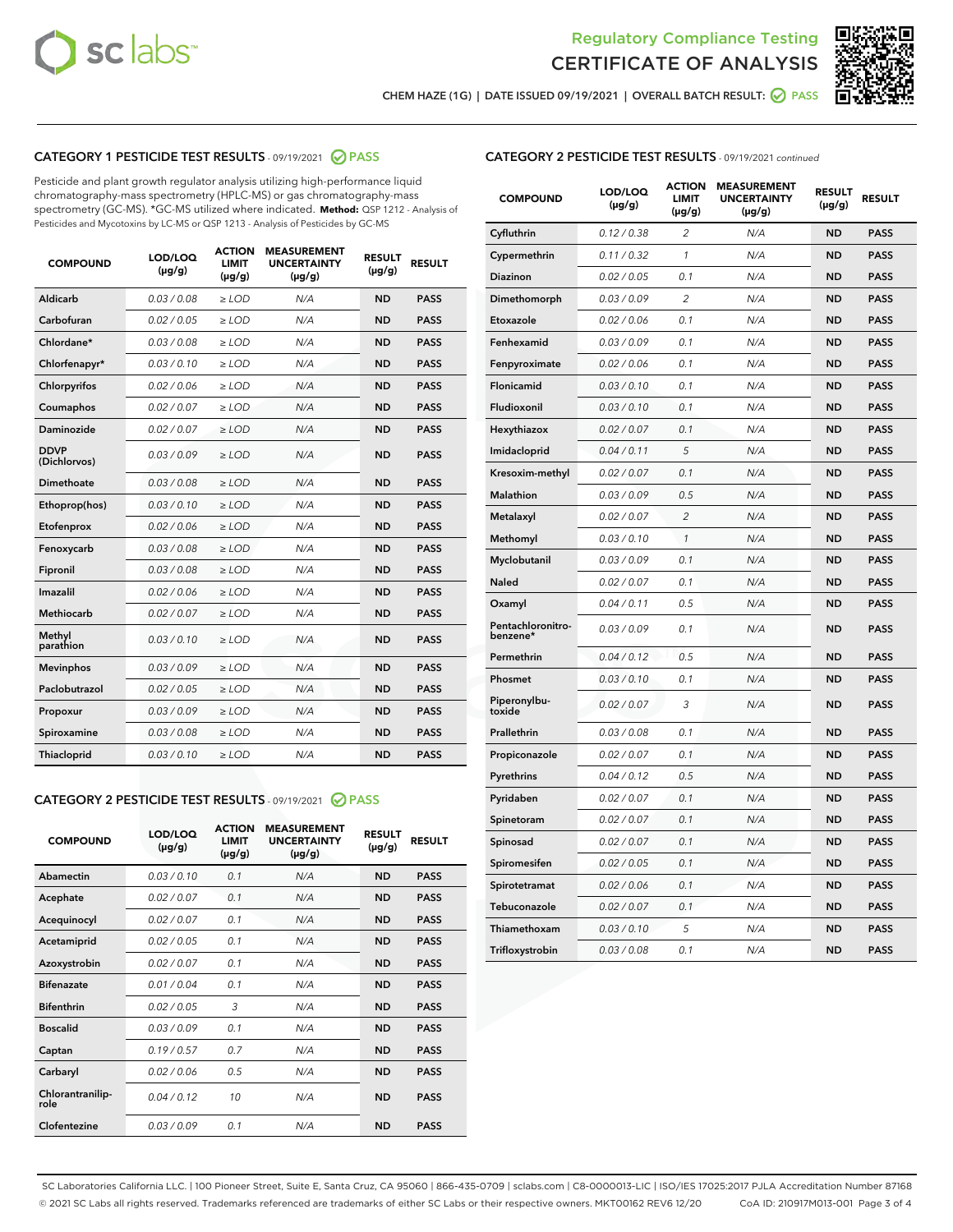



CHEM HAZE (1G) | DATE ISSUED 09/19/2021 | OVERALL BATCH RESULT: 0 PASS

### CATEGORY 1 PESTICIDE TEST RESULTS - 09/19/2021 2 PASS

Pesticide and plant growth regulator analysis utilizing high-performance liquid chromatography-mass spectrometry (HPLC-MS) or gas chromatography-mass spectrometry (GC-MS). \*GC-MS utilized where indicated. **Method:** QSP 1212 - Analysis of Pesticides and Mycotoxins by LC-MS or QSP 1213 - Analysis of Pesticides by GC-MS

| <b>COMPOUND</b>             | LOD/LOQ<br>$(\mu g/g)$ | <b>ACTION</b><br><b>LIMIT</b><br>$(\mu g/g)$ | <b>MEASUREMENT</b><br><b>UNCERTAINTY</b><br>$(\mu g/g)$ | <b>RESULT</b><br>$(\mu g/g)$ | <b>RESULT</b> |
|-----------------------------|------------------------|----------------------------------------------|---------------------------------------------------------|------------------------------|---------------|
| Aldicarb                    | 0.03 / 0.08            | $\ge$ LOD                                    | N/A                                                     | <b>ND</b>                    | <b>PASS</b>   |
| Carbofuran                  | 0.02/0.05              | $>$ LOD                                      | N/A                                                     | <b>ND</b>                    | <b>PASS</b>   |
| Chlordane*                  | 0.03 / 0.08            | $\ge$ LOD                                    | N/A                                                     | <b>ND</b>                    | <b>PASS</b>   |
| Chlorfenapyr*               | 0.03/0.10              | $\ge$ LOD                                    | N/A                                                     | <b>ND</b>                    | <b>PASS</b>   |
| Chlorpyrifos                | 0.02 / 0.06            | $\ge$ LOD                                    | N/A                                                     | <b>ND</b>                    | <b>PASS</b>   |
| Coumaphos                   | 0.02 / 0.07            | $>$ LOD                                      | N/A                                                     | <b>ND</b>                    | <b>PASS</b>   |
| Daminozide                  | 0.02 / 0.07            | $\ge$ LOD                                    | N/A                                                     | <b>ND</b>                    | <b>PASS</b>   |
| <b>DDVP</b><br>(Dichlorvos) | 0.03/0.09              | $\ge$ LOD                                    | N/A                                                     | <b>ND</b>                    | <b>PASS</b>   |
| <b>Dimethoate</b>           | 0.03 / 0.08            | $\ge$ LOD                                    | N/A                                                     | <b>ND</b>                    | <b>PASS</b>   |
| Ethoprop(hos)               | 0.03/0.10              | $>$ LOD                                      | N/A                                                     | <b>ND</b>                    | <b>PASS</b>   |
| Etofenprox                  | 0.02 / 0.06            | $\ge$ LOD                                    | N/A                                                     | <b>ND</b>                    | <b>PASS</b>   |
| Fenoxycarb                  | 0.03 / 0.08            | $>$ LOD                                      | N/A                                                     | <b>ND</b>                    | <b>PASS</b>   |
| Fipronil                    | 0.03 / 0.08            | $\ge$ LOD                                    | N/A                                                     | <b>ND</b>                    | <b>PASS</b>   |
| Imazalil                    | 0.02 / 0.06            | $\ge$ LOD                                    | N/A                                                     | <b>ND</b>                    | <b>PASS</b>   |
| <b>Methiocarb</b>           | 0.02 / 0.07            | $\ge$ LOD                                    | N/A                                                     | <b>ND</b>                    | <b>PASS</b>   |
| Methyl<br>parathion         | 0.03/0.10              | $>$ LOD                                      | N/A                                                     | <b>ND</b>                    | <b>PASS</b>   |
| <b>Mevinphos</b>            | 0.03/0.09              | $>$ LOD                                      | N/A                                                     | <b>ND</b>                    | <b>PASS</b>   |
| Paclobutrazol               | 0.02 / 0.05            | $\ge$ LOD                                    | N/A                                                     | <b>ND</b>                    | <b>PASS</b>   |
| Propoxur                    | 0.03/0.09              | $\ge$ LOD                                    | N/A                                                     | <b>ND</b>                    | <b>PASS</b>   |
| Spiroxamine                 | 0.03 / 0.08            | $\ge$ LOD                                    | N/A                                                     | <b>ND</b>                    | <b>PASS</b>   |
| <b>Thiacloprid</b>          | 0.03/0.10              | $\ge$ LOD                                    | N/A                                                     | <b>ND</b>                    | <b>PASS</b>   |
|                             |                        |                                              |                                                         |                              |               |

### CATEGORY 2 PESTICIDE TEST RESULTS - 09/19/2021 @ PASS

| <b>COMPOUND</b>          | LOD/LOO<br>$(\mu g/g)$ | <b>ACTION</b><br>LIMIT<br>$(\mu g/g)$ | <b>MEASUREMENT</b><br><b>UNCERTAINTY</b><br>$(\mu g/g)$ | <b>RESULT</b><br>$(\mu g/g)$ | <b>RESULT</b> |  |
|--------------------------|------------------------|---------------------------------------|---------------------------------------------------------|------------------------------|---------------|--|
| Abamectin                | 0.03/0.10              | 0.1                                   | N/A                                                     | <b>ND</b>                    | <b>PASS</b>   |  |
| Acephate                 | 0.02/0.07              | 0.1                                   | N/A                                                     | <b>ND</b>                    | <b>PASS</b>   |  |
| Acequinocyl              | 0.02/0.07              | 0.1                                   | N/A                                                     | <b>ND</b>                    | <b>PASS</b>   |  |
| Acetamiprid              | 0.02/0.05              | 0.1                                   | N/A                                                     | <b>ND</b>                    | <b>PASS</b>   |  |
| Azoxystrobin             | 0.02/0.07              | 0.1                                   | N/A                                                     | <b>ND</b>                    | <b>PASS</b>   |  |
| <b>Bifenazate</b>        | 0.01/0.04              | 0.1                                   | N/A                                                     | <b>ND</b>                    | <b>PASS</b>   |  |
| <b>Bifenthrin</b>        | 0.02/0.05              | 3                                     | N/A                                                     | <b>ND</b>                    | <b>PASS</b>   |  |
| <b>Boscalid</b>          | 0.03/0.09              | 0.1                                   | N/A                                                     | <b>ND</b>                    | <b>PASS</b>   |  |
| Captan                   | 0.19/0.57              | 0.7                                   | N/A                                                     | <b>ND</b>                    | <b>PASS</b>   |  |
| Carbaryl                 | 0.02/0.06              | 0.5                                   | N/A                                                     | <b>ND</b>                    | <b>PASS</b>   |  |
| Chlorantranilip-<br>role | 0.04/0.12              | 10                                    | N/A                                                     | <b>ND</b>                    | <b>PASS</b>   |  |
| Clofentezine             | 0.03/0.09              | 0.1                                   | N/A                                                     | <b>ND</b>                    | <b>PASS</b>   |  |

| <b>COMPOUND</b>               | LOD/LOQ<br>(µg/g) | <b>ACTION</b><br>LIMIT<br>$(\mu g/g)$ | <b>MEASUREMENT</b><br><b>UNCERTAINTY</b><br>$(\mu g/g)$ | <b>RESULT</b><br>(µg/g) | <b>RESULT</b> |
|-------------------------------|-------------------|---------------------------------------|---------------------------------------------------------|-------------------------|---------------|
| Cyfluthrin                    | 0.12 / 0.38       | $\overline{2}$                        | N/A                                                     | <b>ND</b>               | <b>PASS</b>   |
| Cypermethrin                  | 0.11 / 0.32       | $\mathcal{I}$                         | N/A                                                     | <b>ND</b>               | <b>PASS</b>   |
| Diazinon                      | 0.02 / 0.05       | 0.1                                   | N/A                                                     | <b>ND</b>               | <b>PASS</b>   |
| Dimethomorph                  | 0.03 / 0.09       | $\overline{2}$                        | N/A                                                     | <b>ND</b>               | <b>PASS</b>   |
| Etoxazole                     | 0.02 / 0.06       | 0.1                                   | N/A                                                     | <b>ND</b>               | <b>PASS</b>   |
| Fenhexamid                    | 0.03 / 0.09       | 0.1                                   | N/A                                                     | <b>ND</b>               | <b>PASS</b>   |
| Fenpyroximate                 | 0.02 / 0.06       | 0.1                                   | N/A                                                     | <b>ND</b>               | <b>PASS</b>   |
| Flonicamid                    | 0.03/0.10         | 0.1                                   | N/A                                                     | <b>ND</b>               | <b>PASS</b>   |
| Fludioxonil                   | 0.03 / 0.10       | 0.1                                   | N/A                                                     | <b>ND</b>               | <b>PASS</b>   |
| Hexythiazox                   | 0.02 / 0.07       | 0.1                                   | N/A                                                     | <b>ND</b>               | <b>PASS</b>   |
| Imidacloprid                  | 0.04 / 0.11       | 5                                     | N/A                                                     | <b>ND</b>               | <b>PASS</b>   |
| Kresoxim-methyl               | 0.02 / 0.07       | 0.1                                   | N/A                                                     | <b>ND</b>               | <b>PASS</b>   |
| Malathion                     | 0.03 / 0.09       | 0.5                                   | N/A                                                     | <b>ND</b>               | <b>PASS</b>   |
| Metalaxyl                     | 0.02 / 0.07       | $\overline{2}$                        | N/A                                                     | <b>ND</b>               | <b>PASS</b>   |
| Methomyl                      | 0.03 / 0.10       | 1                                     | N/A                                                     | <b>ND</b>               | <b>PASS</b>   |
| Myclobutanil                  | 0.03 / 0.09       | 0.1                                   | N/A                                                     | <b>ND</b>               | <b>PASS</b>   |
| <b>Naled</b>                  | 0.02 / 0.07       | 0.1                                   | N/A                                                     | <b>ND</b>               | <b>PASS</b>   |
| Oxamyl                        | 0.04 / 0.11       | 0.5                                   | N/A                                                     | <b>ND</b>               | <b>PASS</b>   |
| Pentachloronitro-<br>benzene* | 0.03 / 0.09       | 0.1                                   | N/A                                                     | <b>ND</b>               | <b>PASS</b>   |
| Permethrin                    | 0.04/0.12         | 0.5                                   | N/A                                                     | <b>ND</b>               | <b>PASS</b>   |
| Phosmet                       | 0.03 / 0.10       | 0.1                                   | N/A                                                     | <b>ND</b>               | <b>PASS</b>   |
| Piperonylbu-<br>toxide        | 0.02 / 0.07       | 3                                     | N/A                                                     | <b>ND</b>               | <b>PASS</b>   |
| Prallethrin                   | 0.03 / 0.08       | 0.1                                   | N/A                                                     | <b>ND</b>               | <b>PASS</b>   |
| Propiconazole                 | 0.02 / 0.07       | 0.1                                   | N/A                                                     | <b>ND</b>               | <b>PASS</b>   |
| Pyrethrins                    | 0.04 / 0.12       | 0.5                                   | N/A                                                     | <b>ND</b>               | <b>PASS</b>   |
| Pyridaben                     | 0.02 / 0.07       | 0.1                                   | N/A                                                     | <b>ND</b>               | <b>PASS</b>   |
| Spinetoram                    | 0.02 / 0.07       | 0.1                                   | N/A                                                     | ND                      | <b>PASS</b>   |
| Spinosad                      | 0.02 / 0.07       | 0.1                                   | N/A                                                     | <b>ND</b>               | <b>PASS</b>   |
| Spiromesifen                  | 0.02 / 0.05       | 0.1                                   | N/A                                                     | <b>ND</b>               | <b>PASS</b>   |
| Spirotetramat                 | 0.02 / 0.06       | 0.1                                   | N/A                                                     | <b>ND</b>               | <b>PASS</b>   |
| Tebuconazole                  | 0.02 / 0.07       | 0.1                                   | N/A                                                     | <b>ND</b>               | <b>PASS</b>   |
| Thiamethoxam                  | 0.03 / 0.10       | 5                                     | N/A                                                     | <b>ND</b>               | <b>PASS</b>   |
| Trifloxystrobin               | 0.03 / 0.08       | 0.1                                   | N/A                                                     | <b>ND</b>               | <b>PASS</b>   |

SC Laboratories California LLC. | 100 Pioneer Street, Suite E, Santa Cruz, CA 95060 | 866-435-0709 | sclabs.com | C8-0000013-LIC | ISO/IES 17025:2017 PJLA Accreditation Number 87168 © 2021 SC Labs all rights reserved. Trademarks referenced are trademarks of either SC Labs or their respective owners. MKT00162 REV6 12/20 CoA ID: 210917M013-001 Page 3 of 4